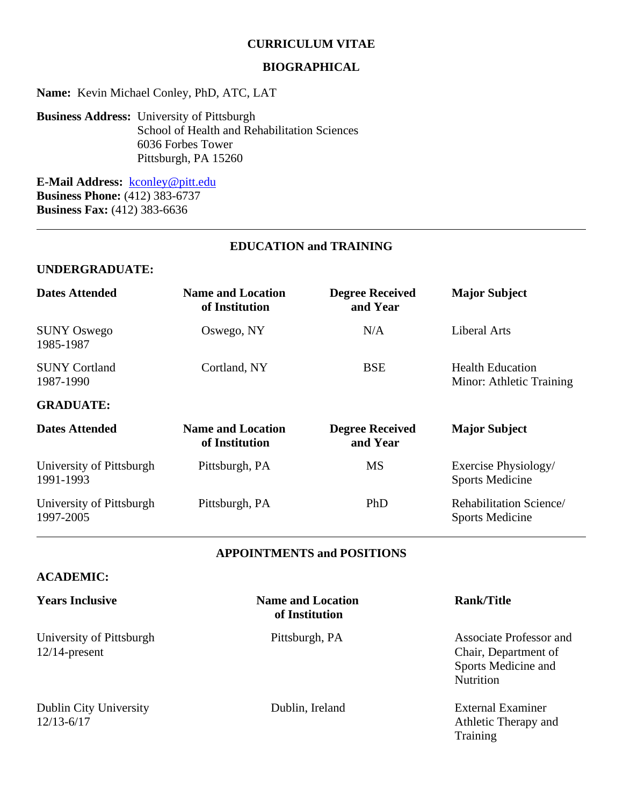#### **CURRICULUM VITAE**

#### **BIOGRAPHICAL**

**Name:** Kevin Michael Conley, PhD, ATC, LAT

**Business Address:** University of Pittsburgh School of Health and Rehabilitation Sciences 6036 Forbes Tower Pittsburgh, PA 15260

**E-Mail Address:** [kconley@pitt.edu](mailto:kconley@pitt.edu) **Business Phone:** (412) 383-6737 **Business Fax:** (412) 383-6636

## **EDUCATION and TRAINING**

#### **UNDERGRADUATE:**

| <b>Dates Attended</b>                 | <b>Name and Location</b><br>of Institution | <b>Degree Received</b><br>and Year | <b>Major Subject</b>                                |
|---------------------------------------|--------------------------------------------|------------------------------------|-----------------------------------------------------|
| <b>SUNY Oswego</b><br>1985-1987       | Oswego, NY                                 | N/A                                | <b>Liberal Arts</b>                                 |
| <b>SUNY Cortland</b><br>1987-1990     | Cortland, NY                               | <b>BSE</b>                         | <b>Health Education</b><br>Minor: Athletic Training |
| <b>GRADUATE:</b>                      |                                            |                                    |                                                     |
| <b>Dates Attended</b>                 | <b>Name and Location</b><br>of Institution | <b>Degree Received</b><br>and Year | <b>Major Subject</b>                                |
| University of Pittsburgh<br>1991-1993 | Pittsburgh, PA                             | <b>MS</b>                          | Exercise Physiology/<br><b>Sports Medicine</b>      |
| University of Pittsburgh<br>1997-2005 | Pittsburgh, PA                             | PhD                                | Rehabilitation Science/<br><b>Sports Medicine</b>   |

#### **APPOINTMENTS and POSITIONS**

#### **ACADEMIC:**

12/14-present Chair, Department of

Dublin City University Dublin, Ireland External Examiner<br>12/13-6/17 Athletic Therapy are

**Years Inclusive Name and Location Rank/Title of Institution**

University of Pittsburgh Pittsburgh, PA Associate Professor and Sports Medicine and **Nutrition** 

> Athletic Therapy and Training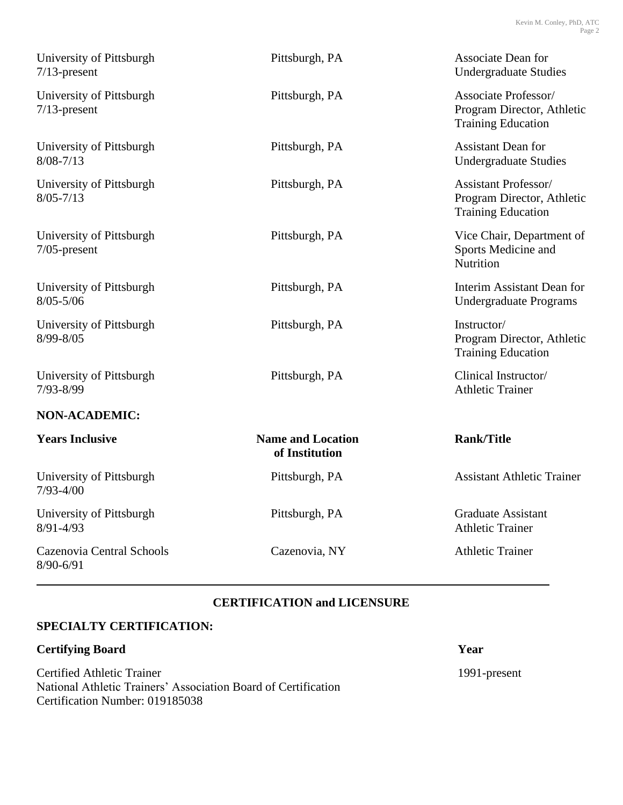| University of Pittsburgh<br>$7/13$ -present | Pittsburgh, PA                             | <b>Associate Dean for</b><br><b>Undergraduate Studies</b>                              |
|---------------------------------------------|--------------------------------------------|----------------------------------------------------------------------------------------|
| University of Pittsburgh<br>$7/13$ -present | Pittsburgh, PA                             | Associate Professor/<br>Program Director, Athletic<br><b>Training Education</b>        |
| University of Pittsburgh<br>$8/08 - 7/13$   | Pittsburgh, PA                             | <b>Assistant Dean for</b><br><b>Undergraduate Studies</b>                              |
| University of Pittsburgh<br>$8/05 - 7/13$   | Pittsburgh, PA                             | <b>Assistant Professor/</b><br>Program Director, Athletic<br><b>Training Education</b> |
| University of Pittsburgh<br>$7/05$ -present | Pittsburgh, PA                             | Vice Chair, Department of<br>Sports Medicine and<br>Nutrition                          |
| University of Pittsburgh<br>$8/05 - 5/06$   | Pittsburgh, PA                             | Interim Assistant Dean for<br><b>Undergraduate Programs</b>                            |
| University of Pittsburgh<br>8/99-8/05       | Pittsburgh, PA                             | Instructor/<br>Program Director, Athletic<br><b>Training Education</b>                 |
| University of Pittsburgh<br>7/93-8/99       | Pittsburgh, PA                             | Clinical Instructor/<br><b>Athletic Trainer</b>                                        |
| <b>NON-ACADEMIC:</b>                        |                                            |                                                                                        |
| <b>Years Inclusive</b>                      | <b>Name and Location</b><br>of Institution | <b>Rank/Title</b>                                                                      |
| University of Pittsburgh<br>$7/93 - 4/00$   | Pittsburgh, PA                             | <b>Assistant Athletic Trainer</b>                                                      |
| University of Pittsburgh<br>$8/91 - 4/93$   | Pittsburgh, PA                             | <b>Graduate Assistant</b><br><b>Athletic Trainer</b>                                   |
| Cazenovia Central Schools<br>8/90-6/91      | Cazenovia, NY                              | <b>Athletic Trainer</b>                                                                |

# **CERTIFICATION and LICENSURE**

## **SPECIALTY CERTIFICATION:**

# **Certifying Board** Year

Certified Athletic Trainer 1991-present National Athletic Trainers' Association Board of Certification Certification Number: 019185038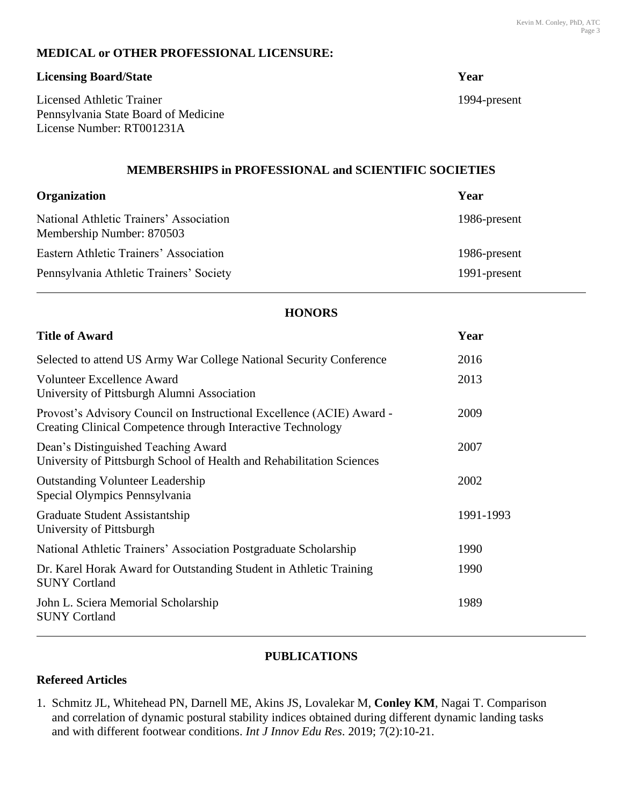## **MEDICAL or OTHER PROFESSIONAL LICENSURE:**

#### **Licensing Board/State Year**

Licensed Athletic Trainer 1994-present Pennsylvania State Board of Medicine License Number: RT001231A

## **MEMBERSHIPS in PROFESSIONAL and SCIENTIFIC SOCIETIES**

| <b>Organization</b>                                                  | Year         |
|----------------------------------------------------------------------|--------------|
| National Athletic Trainers' Association<br>Membership Number: 870503 | 1986-present |
| Eastern Athletic Trainers' Association                               | 1986-present |
| Pennsylvania Athletic Trainers' Society                              | 1991-present |

## **HONORS**

| <b>Title of Award</b>                                                                                                                       | Year      |
|---------------------------------------------------------------------------------------------------------------------------------------------|-----------|
| Selected to attend US Army War College National Security Conference                                                                         | 2016      |
| <b>Volunteer Excellence Award</b><br>University of Pittsburgh Alumni Association                                                            | 2013      |
| Provost's Advisory Council on Instructional Excellence (ACIE) Award -<br><b>Creating Clinical Competence through Interactive Technology</b> | 2009      |
| Dean's Distinguished Teaching Award<br>University of Pittsburgh School of Health and Rehabilitation Sciences                                | 2007      |
| <b>Outstanding Volunteer Leadership</b><br>Special Olympics Pennsylvania                                                                    | 2002      |
| Graduate Student Assistantship<br>University of Pittsburgh                                                                                  | 1991-1993 |
| National Athletic Trainers' Association Postgraduate Scholarship                                                                            | 1990      |
| Dr. Karel Horak Award for Outstanding Student in Athletic Training<br><b>SUNY Cortland</b>                                                  | 1990      |
| John L. Sciera Memorial Scholarship<br><b>SUNY Cortland</b>                                                                                 | 1989      |

#### **PUBLICATIONS**

## **Refereed Articles**

1. Schmitz JL, Whitehead PN, Darnell ME, Akins JS, Lovalekar M, **Conley KM**, Nagai T. Comparison and correlation of dynamic postural stability indices obtained during different dynamic landing tasks and with different footwear conditions. *Int J Innov Edu Res*. 2019; 7(2):10-21.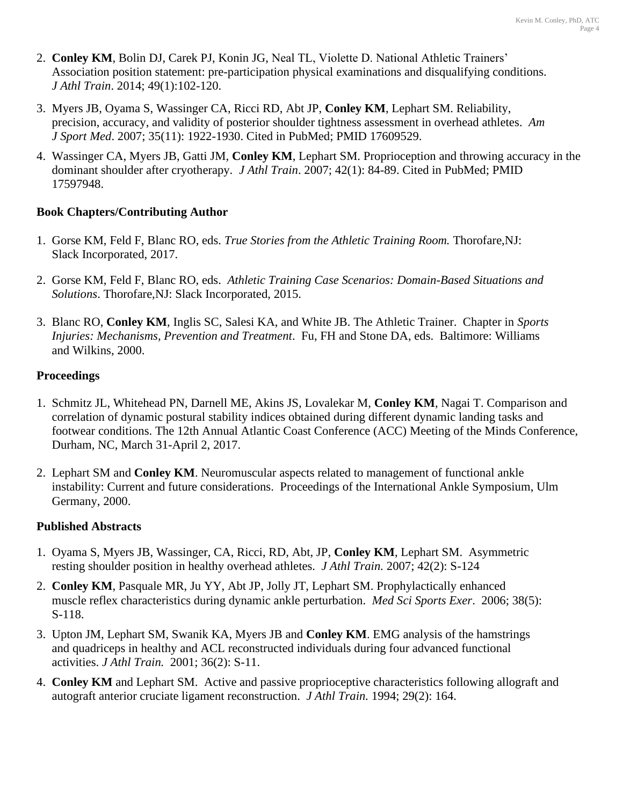- 2. **Conley KM**, Bolin DJ, Carek PJ, Konin JG, Neal TL, Violette D. National Athletic Trainers' Association position statement: pre-participation physical examinations and disqualifying conditions. *J Athl Train*. 2014; 49(1):102-120.
- 3. Myers JB, Oyama S, Wassinger CA, Ricci RD, Abt JP, **Conley KM**, Lephart SM. Reliability, precision, accuracy, and validity of posterior shoulder tightness assessment in overhead athletes. *Am J Sport Med*. 2007; 35(11): 1922-1930. Cited in PubMed; PMID 17609529.
- 4. Wassinger CA, Myers JB, Gatti JM, **Conley KM**, Lephart SM. Proprioception and throwing accuracy in the dominant shoulder after cryotherapy. *J Athl Train*. 2007; 42(1): 84-89. Cited in PubMed; PMID 17597948.

## **Book Chapters/Contributing Author**

- 1. Gorse KM, Feld F, Blanc RO, eds. *True Stories from the Athletic Training Room.* Thorofare,NJ: Slack Incorporated, 2017.
- 2. Gorse KM, Feld F, Blanc RO, eds. *Athletic Training Case Scenarios: Domain-Based Situations and Solutions*. Thorofare,NJ: Slack Incorporated, 2015.
- 3. Blanc RO, **Conley KM**, Inglis SC, Salesi KA, and White JB. The Athletic Trainer. Chapter in *Sports Injuries: Mechanisms, Prevention and Treatment*. Fu, FH and Stone DA, eds. Baltimore: Williams and Wilkins, 2000.

## **Proceedings**

- 1. Schmitz JL, Whitehead PN, Darnell ME, Akins JS, Lovalekar M, **Conley KM**, Nagai T. Comparison and correlation of dynamic postural stability indices obtained during different dynamic landing tasks and footwear conditions. The 12th Annual Atlantic Coast Conference (ACC) Meeting of the Minds Conference, Durham, NC, March 31-April 2, 2017.
- 2. Lephart SM and **Conley KM**. Neuromuscular aspects related to management of functional ankle instability: Current and future considerations. Proceedings of the International Ankle Symposium, Ulm Germany, 2000.

## **Published Abstracts**

- 1. Oyama S, Myers JB, Wassinger, CA, Ricci, RD, Abt, JP, **Conley KM**, Lephart SM. Asymmetric resting shoulder position in healthy overhead athletes. *J Athl Train.* 2007; 42(2): S-124
- 2. **Conley KM**, Pasquale MR, Ju YY, Abt JP, Jolly JT, Lephart SM. Prophylactically enhanced muscle reflex characteristics during dynamic ankle perturbation. *Med Sci Sports Exer*. 2006; 38(5): S-118.
- 3. Upton JM, Lephart SM, Swanik KA, Myers JB and **Conley KM**. EMG analysis of the hamstrings and quadriceps in healthy and ACL reconstructed individuals during four advanced functional activities. *J Athl Train.* 2001; 36(2): S-11.
- 4. **Conley KM** and Lephart SM. Active and passive proprioceptive characteristics following allograft and autograft anterior cruciate ligament reconstruction. *J Athl Train.* 1994; 29(2): 164.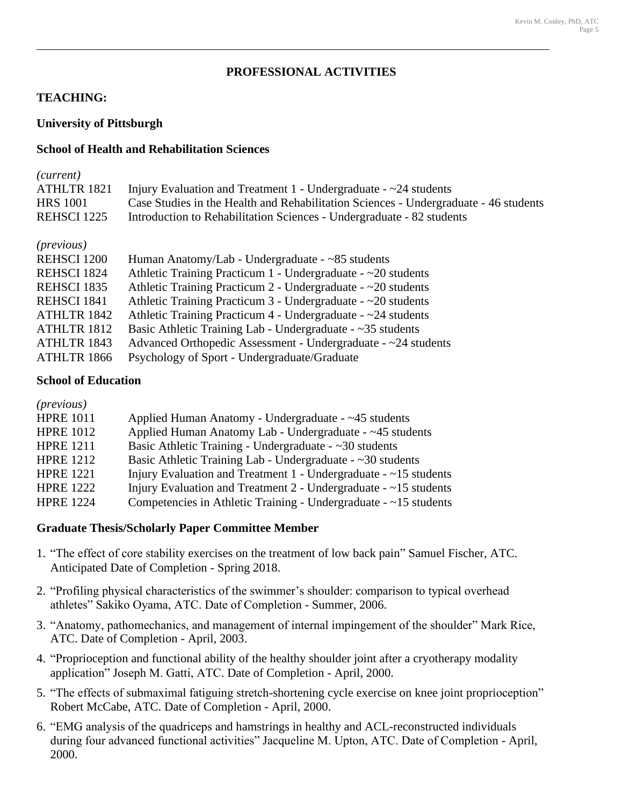## **PROFESSIONAL ACTIVITIES**

## **TEACHING:**

## **University of Pittsburgh**

#### **School of Health and Rehabilitation Sciences**

| ( <i>current</i> ) |                                                                                      |
|--------------------|--------------------------------------------------------------------------------------|
| ATHLTR 1821        | Injury Evaluation and Treatment 1 - Undergraduate $-\infty$ 24 students              |
| <b>HRS</b> 1001    | Case Studies in the Health and Rehabilitation Sciences - Undergraduate - 46 students |
| REHSCI 1225        | Introduction to Rehabilitation Sciences - Undergraduate - 82 students                |

#### *(previous)*

| <b>REHSCI 1200</b> | Human Anatomy/Lab - Undergraduate - ~85 students                     |
|--------------------|----------------------------------------------------------------------|
| REHSCI 1824        | Athletic Training Practicum 1 - Undergraduate - ~20 students         |
| REHSCI 1835        | Athletic Training Practicum $2$ - Undergraduate - $\sim$ 20 students |
| REHSCI 1841        | Athletic Training Practicum $3$ - Undergraduate - $\sim$ 20 students |
| ATHLTR 1842        | Athletic Training Practicum $4$ - Undergraduate - $\sim$ 24 students |
| ATHLTR 1812        | Basic Athletic Training Lab - Undergraduate - $\sim$ 35 students     |
| ATHLTR 1843        | Advanced Orthopedic Assessment - Undergraduate - ~24 students        |
| ATHLTR 1866        | Psychology of Sport - Undergraduate/Graduate                         |

#### **School of Education**

| <i>(previous)</i> |                                                                          |
|-------------------|--------------------------------------------------------------------------|
| <b>HPRE 1011</b>  | Applied Human Anatomy - Undergraduate - ~45 students                     |
| <b>HPRE 1012</b>  | Applied Human Anatomy Lab - Undergraduate - ~45 students                 |
| <b>HPRE 1211</b>  | Basic Athletic Training - Undergraduate - $\sim$ 30 students             |
| <b>HPRE 1212</b>  | Basic Athletic Training Lab - Undergraduate - $\sim$ 30 students         |
| <b>HPRE 1221</b>  | Injury Evaluation and Treatment $1$ - Undergraduate - $\sim$ 15 students |
| <b>HPRE 1222</b>  | Injury Evaluation and Treatment $2$ - Undergraduate - $\sim$ 15 students |
| <b>HPRE 1224</b>  | Competencies in Athletic Training - Undergraduate - $\sim$ 15 students   |

#### **Graduate Thesis/Scholarly Paper Committee Member**

- 1. "The effect of core stability exercises on the treatment of low back pain" Samuel Fischer, ATC. Anticipated Date of Completion - Spring 2018.
- 2. "Profiling physical characteristics of the swimmer's shoulder: comparison to typical overhead athletes" Sakiko Oyama, ATC. Date of Completion - Summer, 2006.
- 3. "Anatomy, pathomechanics, and management of internal impingement of the shoulder" Mark Rice, ATC. Date of Completion - April, 2003.
- 4. "Proprioception and functional ability of the healthy shoulder joint after a cryotherapy modality application" Joseph M. Gatti, ATC. Date of Completion - April, 2000.
- 5. "The effects of submaximal fatiguing stretch-shortening cycle exercise on knee joint proprioception" Robert McCabe, ATC. Date of Completion - April, 2000.
- 6. "EMG analysis of the quadriceps and hamstrings in healthy and ACL-reconstructed individuals during four advanced functional activities" Jacqueline M. Upton, ATC. Date of Completion - April, 2000.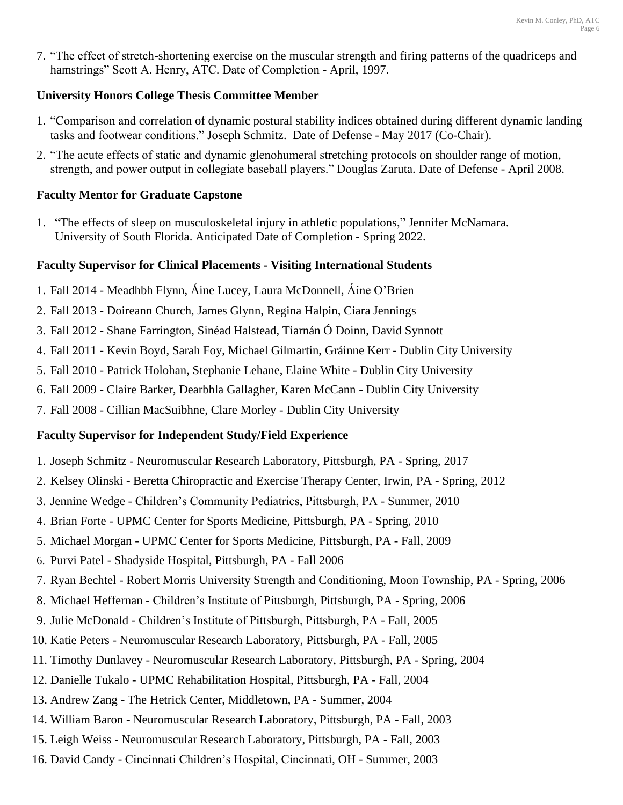7. "The effect of stretch-shortening exercise on the muscular strength and firing patterns of the quadriceps and hamstrings" Scott A. Henry, ATC. Date of Completion - April, 1997.

## **University Honors College Thesis Committee Member**

- 1. "Comparison and correlation of dynamic postural stability indices obtained during different dynamic landing tasks and footwear conditions." Joseph Schmitz. Date of Defense - May 2017 (Co-Chair).
- 2. "The acute effects of static and dynamic glenohumeral stretching protocols on shoulder range of motion, strength, and power output in collegiate baseball players." Douglas Zaruta. Date of Defense - April 2008.

## **Faculty Mentor for Graduate Capstone**

1. "The effects of sleep on musculoskeletal injury in athletic populations," Jennifer McNamara. University of South Florida. Anticipated Date of Completion - Spring 2022.

# **Faculty Supervisor for Clinical Placements - Visiting International Students**

- 1. Fall 2014 Meadhbh Flynn, Áine Lucey, Laura McDonnell, Áine O'Brien
- 2. Fall 2013 Doireann Church, James Glynn, Regina Halpin, Ciara Jennings
- 3. Fall 2012 Shane Farrington, Sinéad Halstead, Tiarnán Ó Doinn, David Synnott
- 4. Fall 2011 Kevin Boyd, Sarah Foy, Michael Gilmartin, Gráinne Kerr Dublin City University
- 5. Fall 2010 Patrick Holohan, Stephanie Lehane, Elaine White Dublin City University
- 6. Fall 2009 Claire Barker, Dearbhla Gallagher, Karen McCann Dublin City University
- 7. Fall 2008 Cillian MacSuibhne, Clare Morley Dublin City University

# **Faculty Supervisor for Independent Study/Field Experience**

- 1. Joseph Schmitz Neuromuscular Research Laboratory, Pittsburgh, PA Spring, 2017
- 2. Kelsey Olinski Beretta Chiropractic and Exercise Therapy Center, Irwin, PA Spring, 2012
- 3. Jennine Wedge Children's Community Pediatrics, Pittsburgh, PA Summer, 2010
- 4. Brian Forte UPMC Center for Sports Medicine, Pittsburgh, PA Spring, 2010
- 5. Michael Morgan UPMC Center for Sports Medicine, Pittsburgh, PA Fall, 2009
- 6. Purvi Patel Shadyside Hospital, Pittsburgh, PA Fall 2006
- 7. Ryan Bechtel Robert Morris University Strength and Conditioning, Moon Township, PA Spring, 2006
- 8. Michael Heffernan Children's Institute of Pittsburgh, Pittsburgh, PA Spring, 2006
- 9. Julie McDonald Children's Institute of Pittsburgh, Pittsburgh, PA Fall, 2005
- 10. Katie Peters Neuromuscular Research Laboratory, Pittsburgh, PA Fall, 2005
- 11. Timothy Dunlavey Neuromuscular Research Laboratory, Pittsburgh, PA Spring, 2004
- 12. Danielle Tukalo UPMC Rehabilitation Hospital, Pittsburgh, PA Fall, 2004
- 13. Andrew Zang The Hetrick Center, Middletown, PA Summer, 2004
- 14. William Baron Neuromuscular Research Laboratory, Pittsburgh, PA Fall, 2003
- 15. Leigh Weiss Neuromuscular Research Laboratory, Pittsburgh, PA Fall, 2003
- 16. David Candy Cincinnati Children's Hospital, Cincinnati, OH Summer, 2003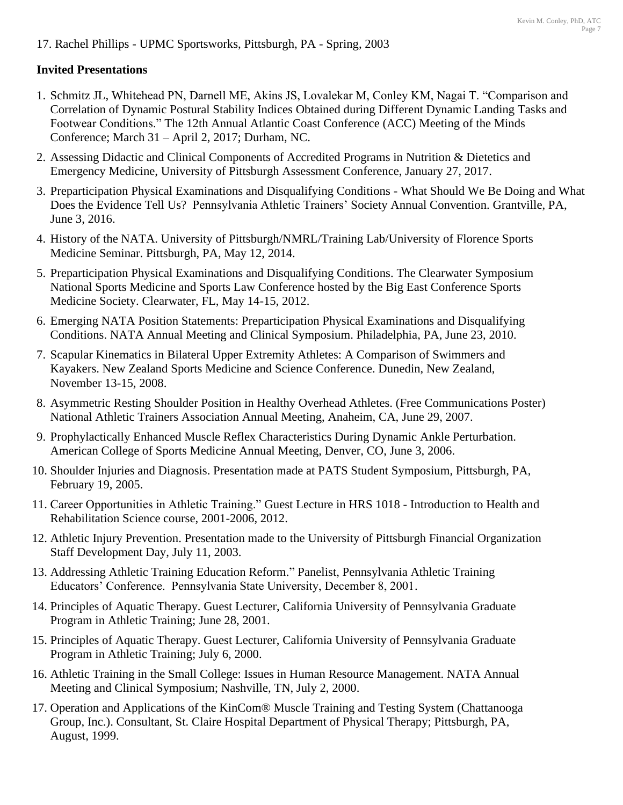17. Rachel Phillips - UPMC Sportsworks, Pittsburgh, PA - Spring, 2003

## **Invited Presentations**

- 1. Schmitz JL, Whitehead PN, Darnell ME, Akins JS, Lovalekar M, Conley KM, Nagai T. "Comparison and Correlation of Dynamic Postural Stability Indices Obtained during Different Dynamic Landing Tasks and Footwear Conditions." The 12th Annual Atlantic Coast Conference (ACC) Meeting of the Minds Conference; March 31 – April 2, 2017; Durham, NC.
- 2. Assessing Didactic and Clinical Components of Accredited Programs in Nutrition & Dietetics and Emergency Medicine, University of Pittsburgh Assessment Conference, January 27, 2017.
- 3. Preparticipation Physical Examinations and Disqualifying Conditions What Should We Be Doing and What Does the Evidence Tell Us? Pennsylvania Athletic Trainers' Society Annual Convention. Grantville, PA, June 3, 2016.
- 4. History of the NATA. University of Pittsburgh/NMRL/Training Lab/University of Florence Sports Medicine Seminar. Pittsburgh, PA, May 12, 2014.
- 5. Preparticipation Physical Examinations and Disqualifying Conditions. The Clearwater Symposium National Sports Medicine and Sports Law Conference hosted by the Big East Conference Sports Medicine Society. Clearwater, FL, May 14-15, 2012.
- 6. Emerging NATA Position Statements: Preparticipation Physical Examinations and Disqualifying Conditions. NATA Annual Meeting and Clinical Symposium. Philadelphia, PA, June 23, 2010.
- 7. Scapular Kinematics in Bilateral Upper Extremity Athletes: A Comparison of Swimmers and Kayakers. New Zealand Sports Medicine and Science Conference. Dunedin, New Zealand, November 13-15, 2008.
- 8. Asymmetric Resting Shoulder Position in Healthy Overhead Athletes. (Free Communications Poster) National Athletic Trainers Association Annual Meeting, Anaheim, CA, June 29, 2007.
- 9. Prophylactically Enhanced Muscle Reflex Characteristics During Dynamic Ankle Perturbation. American College of Sports Medicine Annual Meeting, Denver, CO, June 3, 2006.
- 10. Shoulder Injuries and Diagnosis. Presentation made at PATS Student Symposium, Pittsburgh, PA, February 19, 2005.
- 11. Career Opportunities in Athletic Training." Guest Lecture in HRS 1018 Introduction to Health and Rehabilitation Science course, 2001-2006, 2012.
- 12. Athletic Injury Prevention. Presentation made to the University of Pittsburgh Financial Organization Staff Development Day, July 11, 2003.
- 13. Addressing Athletic Training Education Reform." Panelist, Pennsylvania Athletic Training Educators' Conference. Pennsylvania State University, December 8, 2001.
- 14. Principles of Aquatic Therapy. Guest Lecturer, California University of Pennsylvania Graduate Program in Athletic Training; June 28, 2001.
- 15. Principles of Aquatic Therapy. Guest Lecturer, California University of Pennsylvania Graduate Program in Athletic Training; July 6, 2000.
- 16. Athletic Training in the Small College: Issues in Human Resource Management. NATA Annual Meeting and Clinical Symposium; Nashville, TN, July 2, 2000.
- 17. Operation and Applications of the KinCom® Muscle Training and Testing System (Chattanooga Group, Inc.). Consultant, St. Claire Hospital Department of Physical Therapy; Pittsburgh, PA, August, 1999.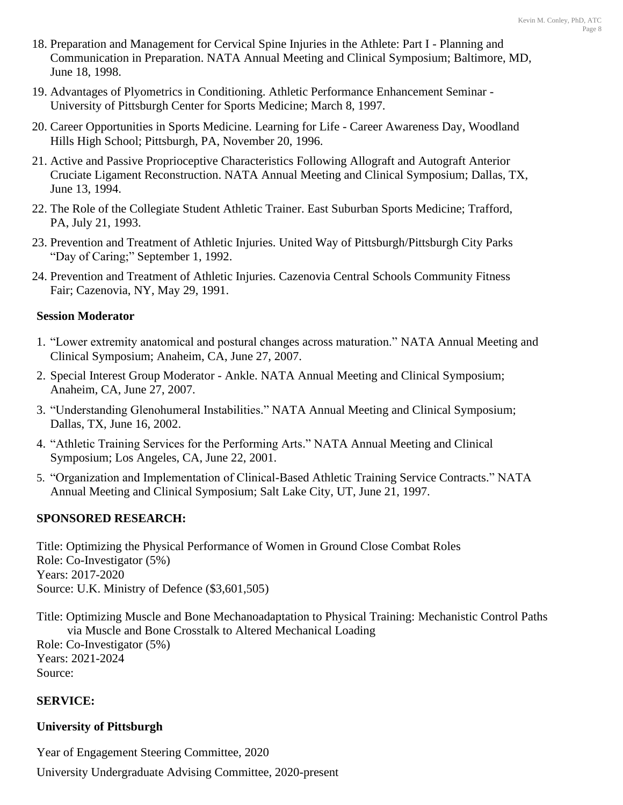- 18. Preparation and Management for Cervical Spine Injuries in the Athlete: Part I Planning and Communication in Preparation. NATA Annual Meeting and Clinical Symposium; Baltimore, MD, June 18, 1998.
- 19. Advantages of Plyometrics in Conditioning. Athletic Performance Enhancement Seminar University of Pittsburgh Center for Sports Medicine; March 8, 1997.
- 20. Career Opportunities in Sports Medicine. Learning for Life Career Awareness Day, Woodland Hills High School; Pittsburgh, PA, November 20, 1996.
- 21. Active and Passive Proprioceptive Characteristics Following Allograft and Autograft Anterior Cruciate Ligament Reconstruction. NATA Annual Meeting and Clinical Symposium; Dallas, TX, June 13, 1994.
- 22. The Role of the Collegiate Student Athletic Trainer. East Suburban Sports Medicine; Trafford, PA, July 21, 1993.
- 23. Prevention and Treatment of Athletic Injuries. United Way of Pittsburgh/Pittsburgh City Parks "Day of Caring;" September 1, 1992.
- 24. Prevention and Treatment of Athletic Injuries. Cazenovia Central Schools Community Fitness Fair; Cazenovia, NY, May 29, 1991.

## **Session Moderator**

- 1. "Lower extremity anatomical and postural changes across maturation." NATA Annual Meeting and Clinical Symposium; Anaheim, CA, June 27, 2007.
- 2. Special Interest Group Moderator Ankle. NATA Annual Meeting and Clinical Symposium; Anaheim, CA, June 27, 2007.
- 3. "Understanding Glenohumeral Instabilities." NATA Annual Meeting and Clinical Symposium; Dallas, TX, June 16, 2002.
- 4. "Athletic Training Services for the Performing Arts." NATA Annual Meeting and Clinical Symposium; Los Angeles, CA, June 22, 2001.
- 5. "Organization and Implementation of Clinical-Based Athletic Training Service Contracts." NATA Annual Meeting and Clinical Symposium; Salt Lake City, UT, June 21, 1997.

## **SPONSORED RESEARCH:**

Title: Optimizing the Physical Performance of Women in Ground Close Combat Roles Role: Co-Investigator (5%) Years: 2017-2020 Source: U.K. Ministry of Defence (\$3,601,505)

Title: Optimizing Muscle and Bone Mechanoadaptation to Physical Training: Mechanistic Control Paths via Muscle and Bone Crosstalk to Altered Mechanical Loading Role: Co-Investigator (5%) Years: 2021-2024 Source:

## **SERVICE:**

## **University of Pittsburgh**

Year of Engagement Steering Committee, 2020

University Undergraduate Advising Committee, 2020-present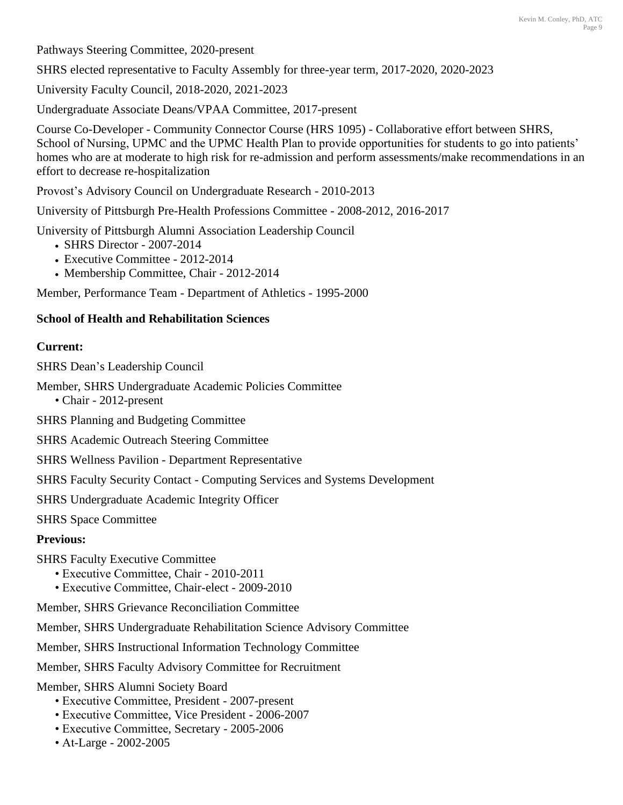Pathways Steering Committee, 2020-present

SHRS elected representative to Faculty Assembly for three-year term, 2017-2020, 2020-2023

University Faculty Council, 2018-2020, 2021-2023

Undergraduate Associate Deans/VPAA Committee, 2017-present

Course Co-Developer - Community Connector Course (HRS 1095) - Collaborative effort between SHRS, School of Nursing, UPMC and the UPMC Health Plan to provide opportunities for students to go into patients' homes who are at moderate to high risk for re-admission and perform assessments/make recommendations in an effort to decrease re-hospitalization

Provost's Advisory Council on Undergraduate Research - 2010-2013

University of Pittsburgh Pre-Health Professions Committee - 2008-2012, 2016-2017

University of Pittsburgh Alumni Association Leadership Council

- SHRS Director 2007-2014
- Executive Committee 2012-2014
- Membership Committee, Chair 2012-2014

Member, Performance Team - Department of Athletics - 1995-2000

## **School of Health and Rehabilitation Sciences**

## **Current:**

SHRS Dean's Leadership Council

Member, SHRS Undergraduate Academic Policies Committee

• Chair - 2012-present

SHRS Planning and Budgeting Committee

SHRS Academic Outreach Steering Committee

SHRS Wellness Pavilion - Department Representative

SHRS Faculty Security Contact - Computing Services and Systems Development

SHRS Undergraduate Academic Integrity Officer

SHRS Space Committee

# **Previous:**

- SHRS Faculty Executive Committee
	- Executive Committee, Chair 2010-2011
	- Executive Committee, Chair-elect 2009-2010

Member, SHRS Grievance Reconciliation Committee

Member, SHRS Undergraduate Rehabilitation Science Advisory Committee

Member, SHRS Instructional Information Technology Committee

Member, SHRS Faculty Advisory Committee for Recruitment

Member, SHRS Alumni Society Board

- Executive Committee, President 2007-present
- Executive Committee, Vice President 2006-2007
- Executive Committee, Secretary 2005-2006
- At-Large 2002-2005